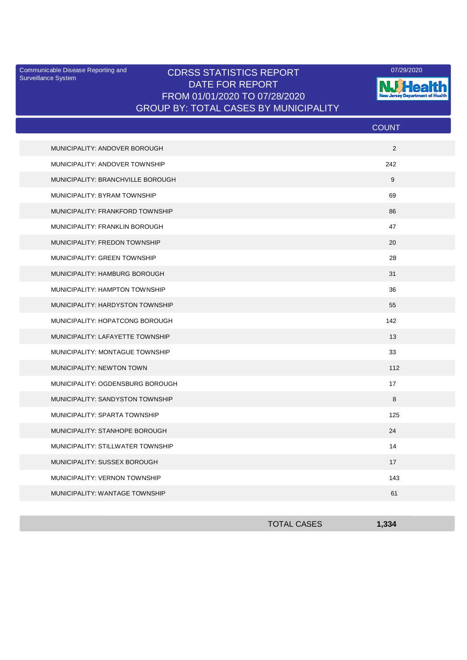Surveillance System

## Communicable Disease Reporting and **CDRSS STATISTICS REPORT** 2007/29/2020 DATE FOR REPORT FROM 01/01/2020 TO 07/28/2020 GROUP BY: TOTAL CASES BY MUNICIPALITY



|                                   | <b>COUNT</b> |
|-----------------------------------|--------------|
| MUNICIPALITY: ANDOVER BOROUGH     | 2            |
| MUNICIPALITY: ANDOVER TOWNSHIP    | 242          |
| MUNICIPALITY: BRANCHVILLE BOROUGH | 9            |
| MUNICIPALITY: BYRAM TOWNSHIP      | 69           |
| MUNICIPALITY: FRANKFORD TOWNSHIP  | 86           |
| MUNICIPALITY: FRANKLIN BOROUGH    | 47           |
| MUNICIPALITY: FREDON TOWNSHIP     | 20           |
| MUNICIPALITY: GREEN TOWNSHIP      | 28           |
| MUNICIPALITY: HAMBURG BOROUGH     | 31           |
| MUNICIPALITY: HAMPTON TOWNSHIP    | 36           |
| MUNICIPALITY: HARDYSTON TOWNSHIP  | 55           |
| MUNICIPALITY: HOPATCONG BOROUGH   | 142          |
| MUNICIPALITY: LAFAYETTE TOWNSHIP  | 13           |
| MUNICIPALITY: MONTAGUE TOWNSHIP   | 33           |
| MUNICIPALITY: NEWTON TOWN         | 112          |
| MUNICIPALITY: OGDENSBURG BOROUGH  | 17           |
| MUNICIPALITY: SANDYSTON TOWNSHIP  | 8            |
| MUNICIPALITY: SPARTA TOWNSHIP     | 125          |
| MUNICIPALITY: STANHOPE BOROUGH    | 24           |
| MUNICIPALITY: STILLWATER TOWNSHIP | 14           |
| MUNICIPALITY: SUSSEX BOROUGH      | 17           |
| MUNICIPALITY: VERNON TOWNSHIP     | 143          |
| MUNICIPALITY: WANTAGE TOWNSHIP    | 61           |

| <b>TOTAL CASES</b> | 1,334 |
|--------------------|-------|
|                    |       |